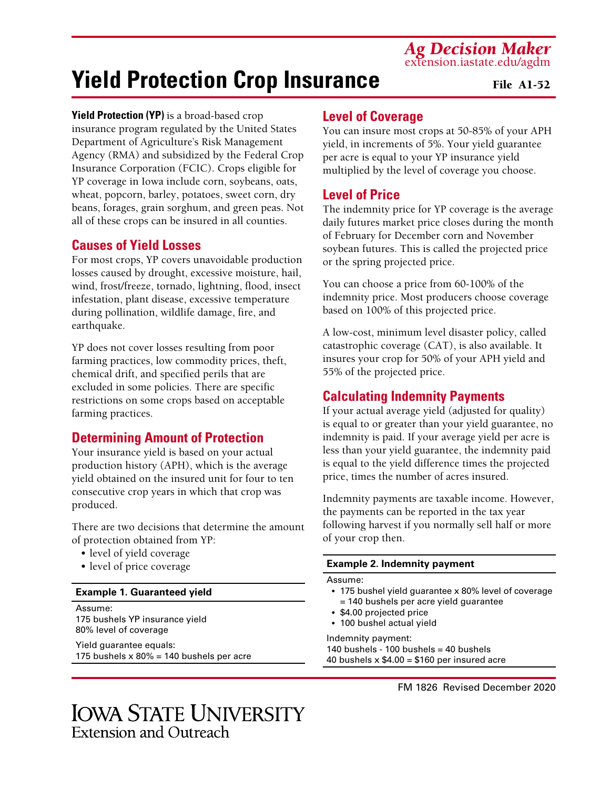*Ag Decision Maker* extension.iastate.edu/agdm

# **Yield Protection Crop Insurance**

#### File A1-52

**Yield Protection (YP)** is a broad-based crop insurance program regulated by the United States Department of Agriculture's Risk Management Agency (RMA) and subsidized by the Federal Crop Insurance Corporation (FCIC). Crops eligible for YP coverage in Iowa include corn, soybeans, oats, wheat, popcorn, barley, potatoes, sweet corn, dry beans, forages, grain sorghum, and green peas. Not all of these crops can be insured in all counties.

# **Causes of Yield Losses**

For most crops, YP covers unavoidable production losses caused by drought, excessive moisture, hail, wind, frost/freeze, tornado, lightning, flood, insect infestation, plant disease, excessive temperature during pollination, wildlife damage, fire, and earthquake.

YP does not cover losses resulting from poor farming practices, low commodity prices, theft, chemical drift, and specified perils that are excluded in some policies. There are specific restrictions on some crops based on acceptable farming practices.

# **Determining Amount of Protection**

Your insurance yield is based on your actual production history (APH), which is the average yield obtained on the insured unit for four to ten consecutive crop years in which that crop was produced.

There are two decisions that determine the amount of protection obtained from YP:

- level of yield coverage
- level of price coverage

#### **Example 1. Guaranteed yield**

Assume: 175 bushels YP insurance yield 80% level of coverage

Yield guarantee equals: 175 bushels  $x 80\% = 140$  bushels per acre

# **Level of Coverage**

You can insure most crops at 50-85% of your APH yield, in increments of 5%. Your yield guarantee per acre is equal to your YP insurance yield multiplied by the level of coverage you choose.

# **Level of Price**

The indemnity price for YP coverage is the average daily futures market price closes during the month of February for December corn and November soybean futures. This is called the projected price or the spring projected price.

You can choose a price from 60-100% of the indemnity price. Most producers choose coverage based on 100% of this projected price.

A low-cost, minimum level disaster policy, called catastrophic coverage (CAT), is also available. It insures your crop for 50% of your APH yield and 55% of the projected price.

# **Calculating Indemnity Payments**

If your actual average yield (adjusted for quality) is equal to or greater than your yield guarantee, no indemnity is paid. If your average yield per acre is less than your yield guarantee, the indemnity paid is equal to the yield difference times the projected price, times the number of acres insured.

Indemnity payments are taxable income. However, the payments can be reported in the tax year following harvest if you normally sell half or more of your crop then.

#### **Example 2. Indemnity payment**

#### Assume:

- 175 bushel yield guarantee x 80% level of coverage = 140 bushels per acre yield guarantee
- \$4.00 projected price
- 100 bushel actual yield

Indemnity payment: 140 bushels - 100 bushels = 40 bushels 40 bushels  $x$  \$4.00 = \$160 per insured acre

FM 1826 Revised December 2020

# **IOWA STATE UNIVERSITY Extension and Outreach**